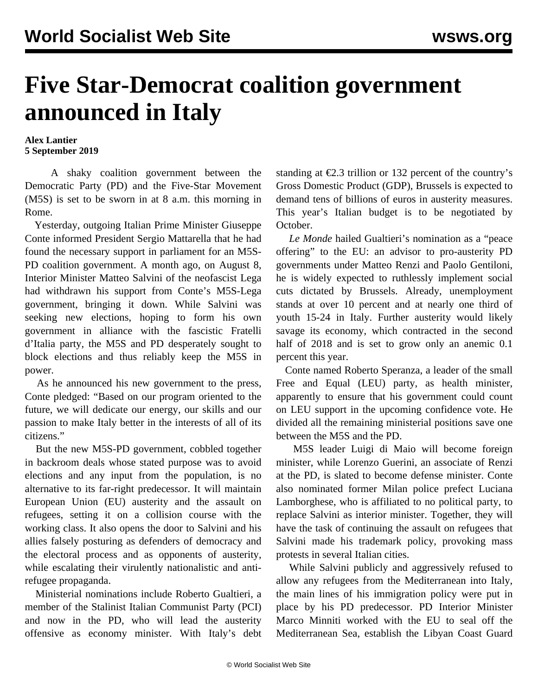## **Five Star-Democrat coalition government announced in Italy**

**Alex Lantier 5 September 2019**

 A shaky coalition government between the Democratic Party (PD) and the Five-Star Movement (M5S) is set to be sworn in at 8 a.m. this morning in Rome.

 Yesterday, outgoing Italian Prime Minister Giuseppe Conte informed President Sergio Mattarella that he had found the necessary support in parliament for an M5S-PD coalition government. A month ago, on August 8, Interior Minister Matteo Salvini of the neofascist Lega had withdrawn his support from Conte's M5S-Lega government, bringing it down. While Salvini was seeking new elections, hoping to form his own government in alliance with the fascistic Fratelli d'Italia party, the M5S and PD desperately sought to block elections and thus reliably keep the M5S in power.

 As he announced his new government to the press, Conte pledged: "Based on our program oriented to the future, we will dedicate our energy, our skills and our passion to make Italy better in the interests of all of its citizens."

 But the new M5S-PD government, cobbled together in backroom deals whose stated purpose was to avoid elections and any input from the population, is no alternative to its far-right predecessor. It will maintain European Union (EU) austerity and the assault on refugees, setting it on a collision course with the working class. It also opens the door to Salvini and his allies falsely posturing as defenders of democracy and the electoral process and as opponents of austerity, while escalating their virulently nationalistic and antirefugee propaganda.

 Ministerial nominations include Roberto Gualtieri, a member of the Stalinist Italian Communist Party (PCI) and now in the PD, who will lead the austerity offensive as economy minister. With Italy's debt standing at  $\epsilon$ 2.3 trillion or 132 percent of the country's Gross Domestic Product (GDP), Brussels is expected to demand tens of billions of euros in austerity measures. This year's Italian budget is to be negotiated by October.

 *Le Monde* hailed Gualtieri's nomination as a "peace offering" to the EU: an advisor to pro-austerity PD governments under Matteo Renzi and Paolo Gentiloni, he is widely expected to ruthlessly implement social cuts dictated by Brussels. Already, unemployment stands at over 10 percent and at nearly one third of youth 15-24 in Italy. Further austerity would likely savage its economy, which contracted in the second half of 2018 and is set to grow only an anemic 0.1 percent this year.

 Conte named Roberto Speranza, a leader of the small Free and Equal (LEU) party, as health minister, apparently to ensure that his government could count on LEU support in the upcoming confidence vote. He divided all the remaining ministerial positions save one between the M5S and the PD.

 M5S leader Luigi di Maio will become foreign minister, while Lorenzo Guerini, an associate of Renzi at the PD, is slated to become defense minister. Conte also nominated former Milan police prefect Luciana Lamborghese, who is affiliated to no political party, to replace Salvini as interior minister. Together, they will have the task of continuing the assault on refugees that Salvini made his trademark policy, provoking mass protests in several Italian cities.

 While Salvini publicly and aggressively refused to allow any refugees from the Mediterranean into Italy, the main lines of his immigration policy were put in place by his PD predecessor. PD Interior Minister Marco Minniti worked with the EU to seal off the Mediterranean Sea, establish the Libyan Coast Guard